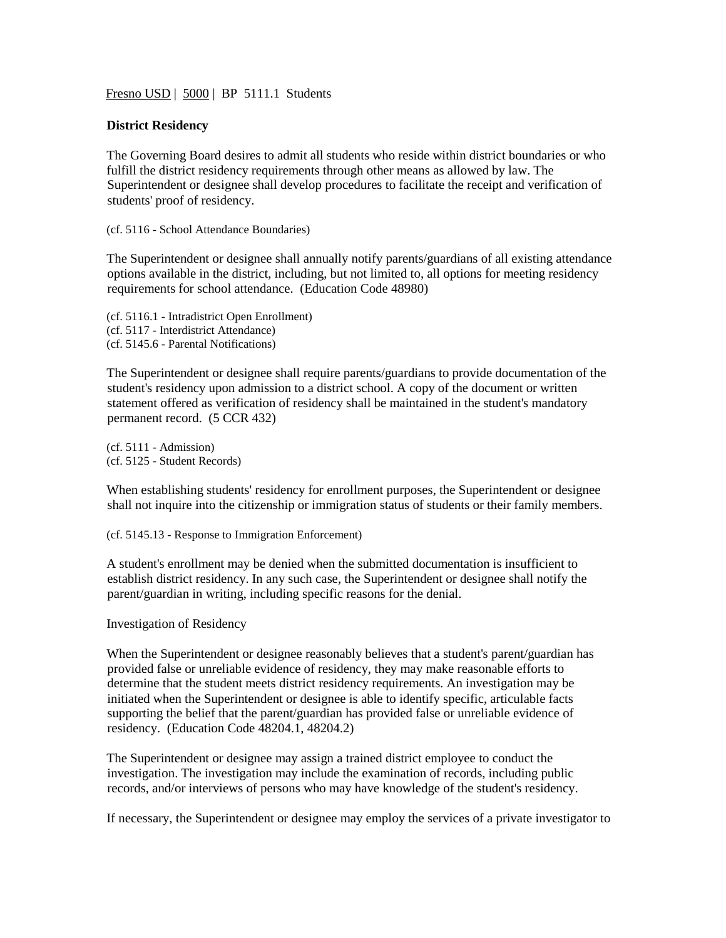Fresno USD | 5000 | BP 5111.1 Students

## **District Residency**

The Governing Board desires to admit all students who reside within district boundaries or who fulfill the district residency requirements through other means as allowed by law. The Superintendent or designee shall develop procedures to facilitate the receipt and verification of students' proof of residency.

(cf. 5116 - School Attendance Boundaries)

The Superintendent or designee shall annually notify parents/guardians of all existing attendance options available in the district, including, but not limited to, all options for meeting residency requirements for school attendance. (Education Code 48980)

(cf. 5116.1 - Intradistrict Open Enrollment) (cf. 5117 - Interdistrict Attendance) (cf. 5145.6 - Parental Notifications)

The Superintendent or designee shall require parents/guardians to provide documentation of the student's residency upon admission to a district school. A copy of the document or written statement offered as verification of residency shall be maintained in the student's mandatory permanent record. (5 CCR 432)

(cf. 5111 - Admission) (cf. 5125 - Student Records)

When establishing students' residency for enrollment purposes, the Superintendent or designee shall not inquire into the citizenship or immigration status of students or their family members.

(cf. 5145.13 - Response to Immigration Enforcement)

A student's enrollment may be denied when the submitted documentation is insufficient to establish district residency. In any such case, the Superintendent or designee shall notify the parent/guardian in writing, including specific reasons for the denial.

Investigation of Residency

When the Superintendent or designee reasonably believes that a student's parent/guardian has provided false or unreliable evidence of residency, they may make reasonable efforts to determine that the student meets district residency requirements. An investigation may be initiated when the Superintendent or designee is able to identify specific, articulable facts supporting the belief that the parent/guardian has provided false or unreliable evidence of residency. (Education Code 48204.1, 48204.2)

The Superintendent or designee may assign a trained district employee to conduct the investigation. The investigation may include the examination of records, including public records, and/or interviews of persons who may have knowledge of the student's residency.

If necessary, the Superintendent or designee may employ the services of a private investigator to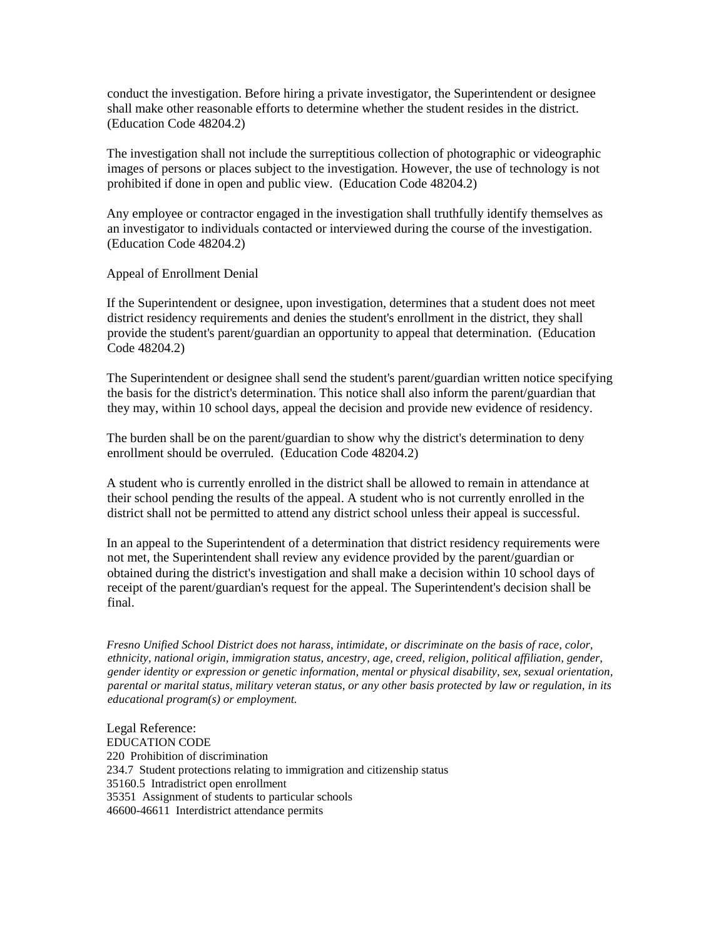conduct the investigation. Before hiring a private investigator, the Superintendent or designee shall make other reasonable efforts to determine whether the student resides in the district. (Education Code 48204.2)

The investigation shall not include the surreptitious collection of photographic or videographic images of persons or places subject to the investigation. However, the use of technology is not prohibited if done in open and public view. (Education Code 48204.2)

Any employee or contractor engaged in the investigation shall truthfully identify themselves as an investigator to individuals contacted or interviewed during the course of the investigation. (Education Code 48204.2)

Appeal of Enrollment Denial

If the Superintendent or designee, upon investigation, determines that a student does not meet district residency requirements and denies the student's enrollment in the district, they shall provide the student's parent/guardian an opportunity to appeal that determination. (Education Code 48204.2)

The Superintendent or designee shall send the student's parent/guardian written notice specifying the basis for the district's determination. This notice shall also inform the parent/guardian that they may, within 10 school days, appeal the decision and provide new evidence of residency.

The burden shall be on the parent/guardian to show why the district's determination to deny enrollment should be overruled. (Education Code 48204.2)

A student who is currently enrolled in the district shall be allowed to remain in attendance at their school pending the results of the appeal. A student who is not currently enrolled in the district shall not be permitted to attend any district school unless their appeal is successful.

In an appeal to the Superintendent of a determination that district residency requirements were not met, the Superintendent shall review any evidence provided by the parent/guardian or obtained during the district's investigation and shall make a decision within 10 school days of receipt of the parent/guardian's request for the appeal. The Superintendent's decision shall be final.

*Fresno Unified School District does not harass, intimidate, or discriminate on the basis of race, color, ethnicity, national origin, immigration status, ancestry, age, creed, religion, political affiliation, gender, gender identity or expression or genetic information, mental or physical disability, sex, sexual orientation, parental or marital status, military veteran status, or any other basis protected by law or regulation, in its educational program(s) or employment.*

Legal Reference: EDUCATION CODE 220 Prohibition of discrimination 234.7 Student protections relating to immigration and citizenship status 35160.5 Intradistrict open enrollment 35351 Assignment of students to particular schools 46600-46611 Interdistrict attendance permits